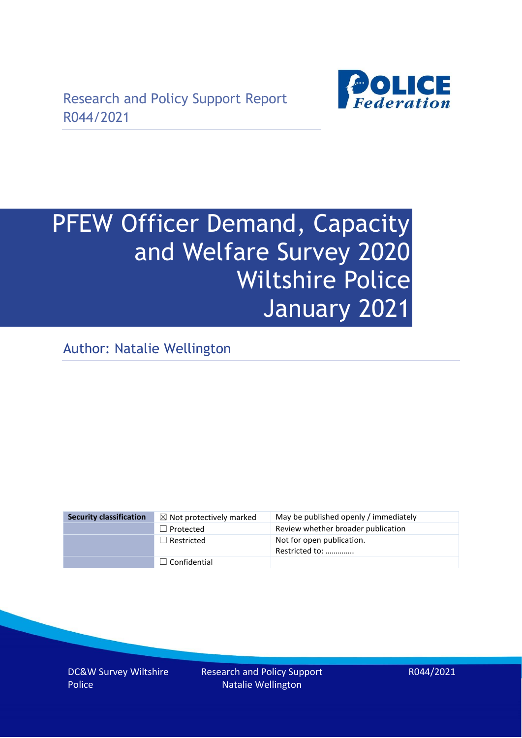

# PFEW Officer Demand, Capacity and Welfare Survey 2020 Wiltshire Police January 2021

Author: Natalie Wellington

| <b>Security classification</b> | $\boxtimes$ Not protectively marked | May be published openly / immediately       |
|--------------------------------|-------------------------------------|---------------------------------------------|
|                                | $\Box$ Protected                    | Review whether broader publication          |
|                                | $\Box$ Restricted                   | Not for open publication.<br>Restricted to: |
|                                | $\Box$ Confidential                 |                                             |

DC&W Survey Wiltshire Police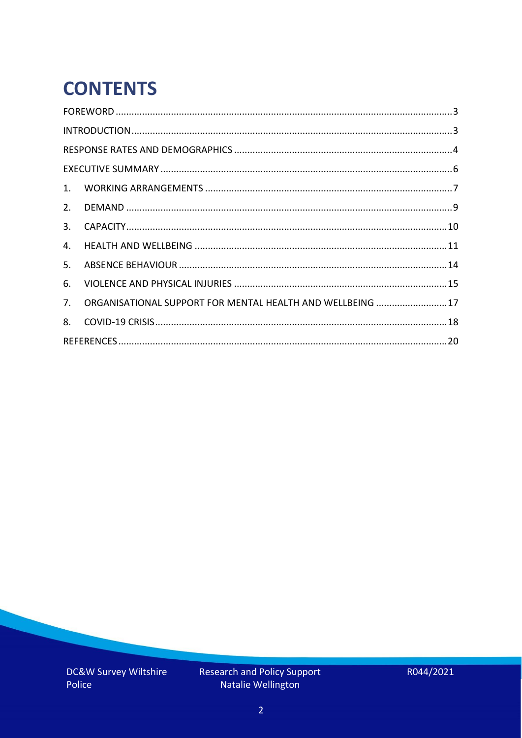# **CONTENTS**

| 2.          |                                                            |  |
|-------------|------------------------------------------------------------|--|
| 3.          |                                                            |  |
| 4.          |                                                            |  |
| 5.          |                                                            |  |
| 6.          |                                                            |  |
| $7_{\cdot}$ | ORGANISATIONAL SUPPORT FOR MENTAL HEALTH AND WELLBEING  17 |  |
| 8.          |                                                            |  |
|             |                                                            |  |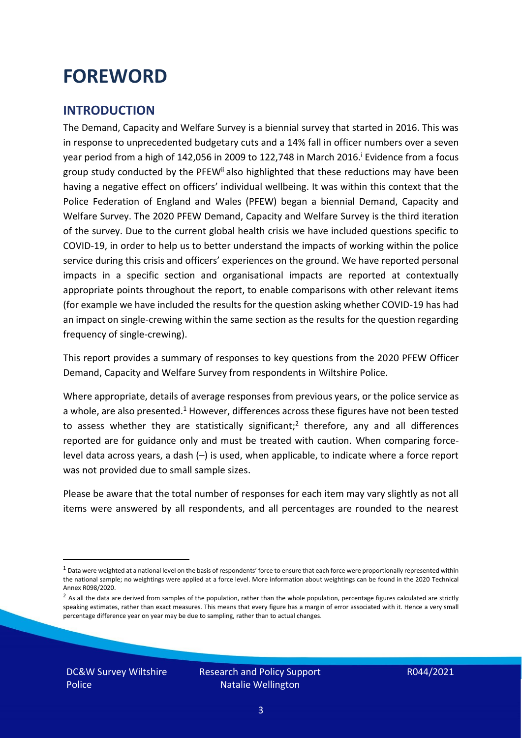### <span id="page-2-0"></span>**FOREWORD**

#### <span id="page-2-1"></span>**INTRODUCTION**

The Demand, Capacity and Welfare Survey is a biennial survey that started in 2016. This was in response to unprecedented budgetary cuts and a 14% fall in officer numbers over a seven year period from a high of 142,056 in 2009 to 122,748 in March 2016. <sup>i</sup> Evidence from a focus group study conducted by the PFEW<sup>ii</sup> also highlighted that these reductions may have been having a negative effect on officers' individual wellbeing. It was within this context that the Police Federation of England and Wales (PFEW) began a biennial Demand, Capacity and Welfare Survey. The 2020 PFEW Demand, Capacity and Welfare Survey is the third iteration of the survey. Due to the current global health crisis we have included questions specific to COVID-19, in order to help us to better understand the impacts of working within the police service during this crisis and officers' experiences on the ground. We have reported personal impacts in a specific section and organisational impacts are reported at contextually appropriate points throughout the report, to enable comparisons with other relevant items (for example we have included the results for the question asking whether COVID-19 has had an impact on single-crewing within the same section as the results for the question regarding frequency of single-crewing).

This report provides a summary of responses to key questions from the 2020 PFEW Officer Demand, Capacity and Welfare Survey from respondents in Wiltshire Police.

Where appropriate, details of average responses from previous years, or the police service as a whole, are also presented.<sup>1</sup> However, differences across these figures have not been tested to assess whether they are statistically significant;<sup>2</sup> therefore, any and all differences reported are for guidance only and must be treated with caution. When comparing forcelevel data across years, a dash (–) is used, when applicable, to indicate where a force report was not provided due to small sample sizes.

Please be aware that the total number of responses for each item may vary slightly as not all items were answered by all respondents, and all percentages are rounded to the nearest

DC&W Survey Wiltshire Police

 $1$  Data were weighted at a national level on the basis of respondents' force to ensure that each force were proportionally represented within the national sample; no weightings were applied at a force level. More information about weightings can be found in the 2020 Technical Annex R098/2020.

 $2$  As all the data are derived from samples of the population, rather than the whole population, percentage figures calculated are strictly speaking estimates, rather than exact measures. This means that every figure has a margin of error associated with it. Hence a very small percentage difference year on year may be due to sampling, rather than to actual changes.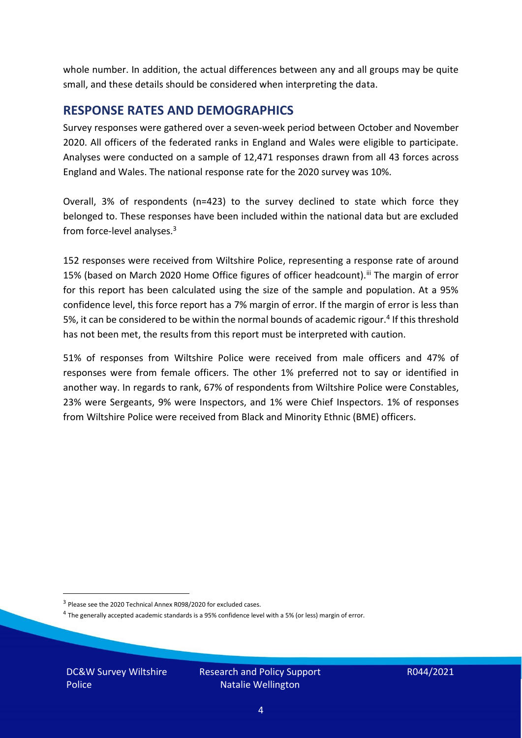whole number. In addition, the actual differences between any and all groups may be quite small, and these details should be considered when interpreting the data.

#### <span id="page-3-0"></span>**RESPONSE RATES AND DEMOGRAPHICS**

Survey responses were gathered over a seven-week period between October and November 2020. All officers of the federated ranks in England and Wales were eligible to participate. Analyses were conducted on a sample of 12,471 responses drawn from all 43 forces across England and Wales. The national response rate for the 2020 survey was 10%.

Overall, 3% of respondents (n=423) to the survey declined to state which force they belonged to. These responses have been included within the national data but are excluded from force-level analyses.<sup>3</sup>

152 responses were received from Wiltshire Police, representing a response rate of around 15% (based on March 2020 Home Office figures of officer headcount).<sup>iii</sup> The margin of error for this report has been calculated using the size of the sample and population. At a 95% confidence level, this force report has a 7% margin of error. If the margin of error is less than 5%, it can be considered to be within the normal bounds of academic rigour.<sup>4</sup> If this threshold has not been met, the results from this report must be interpreted with caution.

51% of responses from Wiltshire Police were received from male officers and 47% of responses were from female officers. The other 1% preferred not to say or identified in another way. In regards to rank, 67% of respondents from Wiltshire Police were Constables, 23% were Sergeants, 9% were Inspectors, and 1% were Chief Inspectors. 1% of responses from Wiltshire Police were received from Black and Minority Ethnic (BME) officers.

DC&W Survey Wiltshire Police

<sup>&</sup>lt;sup>3</sup> Please see the 2020 Technical Annex R098/2020 for excluded cases.

<sup>&</sup>lt;sup>4</sup> The generally accepted academic standards is a 95% confidence level with a 5% (or less) margin of error.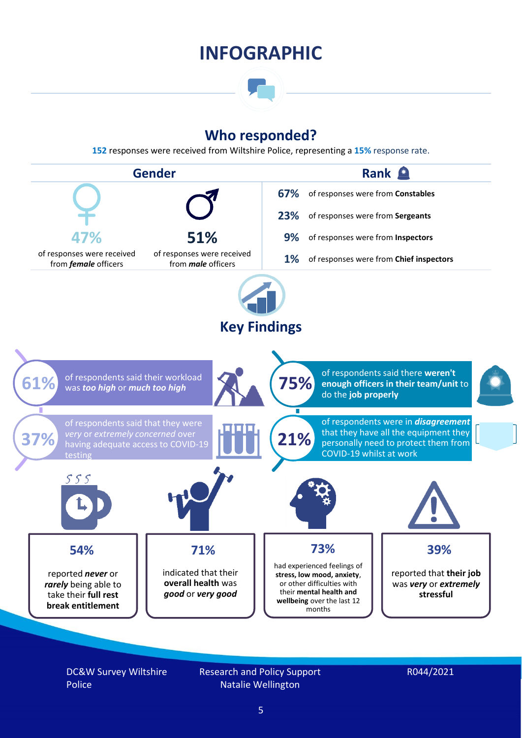### **INFOGRAPHIC**

### **Who responded?**

**152** responses were received from Wiltshire Police, representing a **15%** response rate.



DC&W Survey Wiltshire Police

Research and Policy Support Natalie Wellington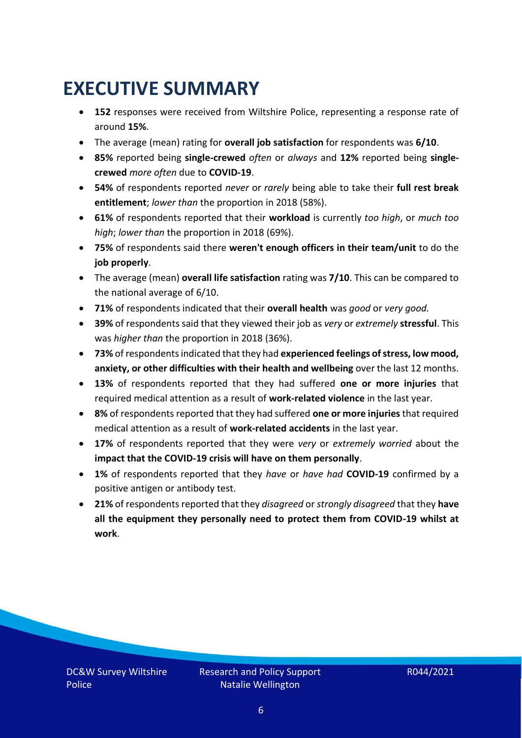### <span id="page-5-0"></span>**EXECUTIVE SUMMARY**

- **152** responses were received from Wiltshire Police, representing a response rate of around **15%**.
- The average (mean) rating for **overall job satisfaction** for respondents was **6/10**.
- **85%** reported being **single-crewed** *often* or *always* and **12%** reported being **singlecrewed** *more often* due to **COVID-19**.
- **54%** of respondents reported *never* or *rarely* being able to take their **full rest break entitlement**; *lower than* the proportion in 2018 (58%).
- **61%** of respondents reported that their **workload** is currently *too high*, or *much too high*; *lower than* the proportion in 2018 (69%).
- **75%** of respondents said there **weren't enough officers in their team/unit** to do the **job properly**.
- The average (mean) **overall life satisfaction** rating was **7/10**. This can be compared to the national average of 6/10.
- **71%** of respondents indicated that their **overall health** was *good* or *very good.*
- **39%** of respondents said that they viewed their job as *very* or *extremely* **stressful**. This was *higher than* the proportion in 2018 (36%).
- **73%** of respondents indicated that they had **experienced feelings of stress, low mood, anxiety, or other difficulties with their health and wellbeing** over the last 12 months.
- **13%** of respondents reported that they had suffered **one or more injuries** that required medical attention as a result of **work-related violence** in the last year.
- **8%** of respondents reported that they had suffered **one or more injuries**that required medical attention as a result of **work-related accidents** in the last year.
- **17%** of respondents reported that they were *very* or *extremely worried* about the **impact that the COVID-19 crisis will have on them personally**.
- **1%** of respondents reported that they *have* or *have had* **COVID-19** confirmed by a positive antigen or antibody test.
- **21%** of respondents reported that they *disagreed* or *strongly disagreed* that they **have all the equipment they personally need to protect them from COVID-19 whilst at work**.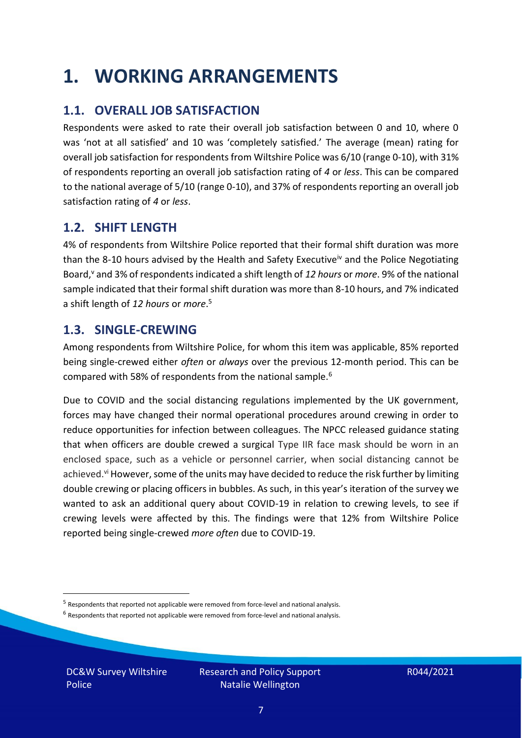### <span id="page-6-0"></span>**1. WORKING ARRANGEMENTS**

### **1.1. OVERALL JOB SATISFACTION**

Respondents were asked to rate their overall job satisfaction between 0 and 10, where 0 was 'not at all satisfied' and 10 was 'completely satisfied.' The average (mean) rating for overall job satisfaction for respondents from Wiltshire Police was 6/10 (range 0-10), with 31% of respondents reporting an overall job satisfaction rating of *4* or *less*. This can be compared to the national average of 5/10 (range 0-10), and 37% of respondents reporting an overall job satisfaction rating of *4* or *less*.

### **1.2. SHIFT LENGTH**

4% of respondents from Wiltshire Police reported that their formal shift duration was more than the 8-10 hours advised by the Health and Safety Executive<sup>iv</sup> and the Police Negotiating Board,<sup>v</sup> and 3% of respondents indicated a shift length of *12 hours* or *more*. 9% of the national sample indicated that their formal shift duration was more than 8-10 hours, and 7% indicated a shift length of *12 hours* or *more*. 5

#### **1.3. SINGLE-CREWING**

Among respondents from Wiltshire Police, for whom this item was applicable, 85% reported being single-crewed either *often* or *always* over the previous 12-month period. This can be compared with 58% of respondents from the national sample.<sup>6</sup>

Due to COVID and the social distancing regulations implemented by the UK government, forces may have changed their normal operational procedures around crewing in order to reduce opportunities for infection between colleagues. The NPCC released guidance stating that when officers are double crewed a surgical Type IIR face mask should be worn in an enclosed space, such as a vehicle or personnel carrier, when social distancing cannot be achieved.<sup>vi</sup> However, some of the units may have decided to reduce the risk further by limiting double crewing or placing officers in bubbles. As such, in this year's iteration of the survey we wanted to ask an additional query about COVID-19 in relation to crewing levels, to see if crewing levels were affected by this. The findings were that 12% from Wiltshire Police reported being single-crewed *more often* due to COVID-19.

 $<sup>6</sup>$  Respondents that reported not applicable were removed from force-level and national analysis.</sup>

DC&W Survey Wiltshire Police

<sup>&</sup>lt;sup>5</sup> Respondents that reported not applicable were removed from force-level and national analysis.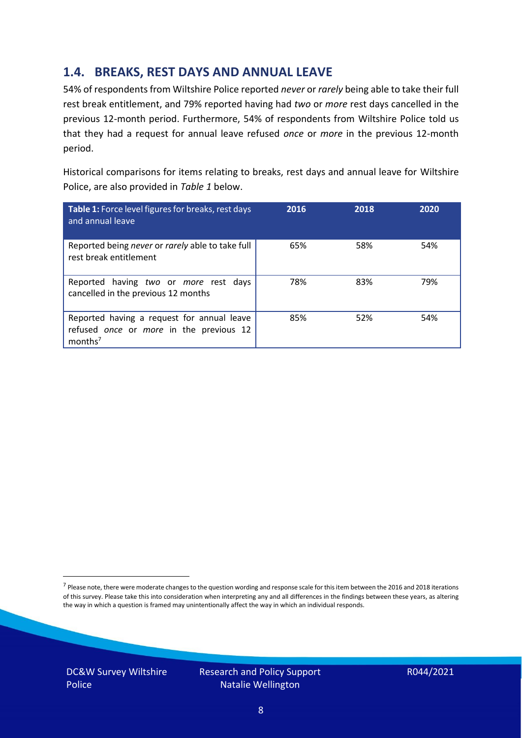### **1.4. BREAKS, REST DAYS AND ANNUAL LEAVE**

54% of respondents from Wiltshire Police reported *never* or *rarely* being able to take their full rest break entitlement, and 79% reported having had *two* or *more* rest days cancelled in the previous 12-month period. Furthermore, 54% of respondents from Wiltshire Police told us that they had a request for annual leave refused *once* or *more* in the previous 12-month period.

Historical comparisons for items relating to breaks, rest days and annual leave for Wiltshire Police, are also provided in *Table 1* below.

| Table 1: Force level figures for breaks, rest days<br>and annual leave                                       | 2016 | 2018 | 2020 |
|--------------------------------------------------------------------------------------------------------------|------|------|------|
| Reported being never or rarely able to take full<br>rest break entitlement                                   | 65%  | 58%  | 54%  |
| Reported having two or more rest days<br>cancelled in the previous 12 months                                 | 78%  | 83%  | 79%  |
| Reported having a request for annual leave<br>refused once or more in the previous 12<br>months <sup>7</sup> | 85%  | 52%  | 54%  |

DC&W Survey Wiltshire Police

<sup>&</sup>lt;sup>7</sup> Please note, there were moderate changes to the question wording and response scale for this item between the 2016 and 2018 iterations of this survey. Please take this into consideration when interpreting any and all differences in the findings between these years, as altering the way in which a question is framed may unintentionally affect the way in which an individual responds.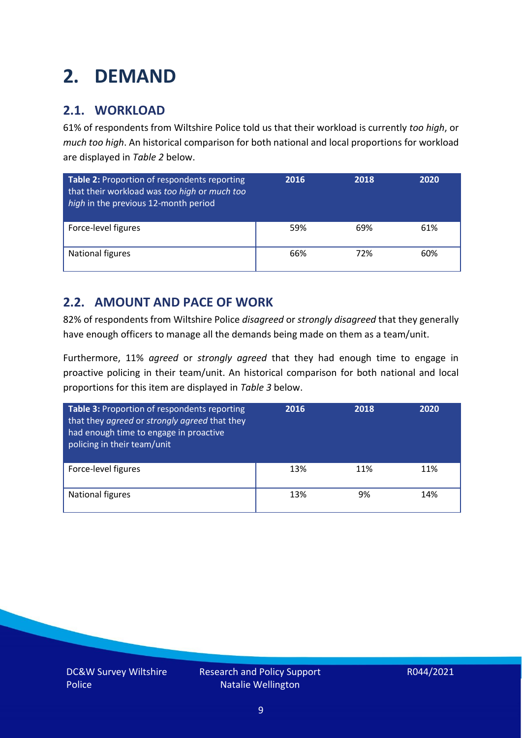### <span id="page-8-0"></span>**2. DEMAND**

### **2.1. WORKLOAD**

61% of respondents from Wiltshire Police told us that their workload is currently *too high*, or *much too high*. An historical comparison for both national and local proportions for workload are displayed in *Table 2* below.

| Table 2: Proportion of respondents reporting<br>that their workload was too high or much too<br>high in the previous 12-month period | 2016 | 2018 | 2020 |
|--------------------------------------------------------------------------------------------------------------------------------------|------|------|------|
| Force-level figures                                                                                                                  | 59%  | 69%  | 61%  |
| National figures                                                                                                                     | 66%  | 72%  | 60%  |

### **2.2. AMOUNT AND PACE OF WORK**

82% of respondents from Wiltshire Police *disagreed* or *strongly disagreed* that they generally have enough officers to manage all the demands being made on them as a team/unit.

Furthermore, 11% *agreed* or *strongly agreed* that they had enough time to engage in proactive policing in their team/unit. An historical comparison for both national and local proportions for this item are displayed in *Table 3* below.

| Table 3: Proportion of respondents reporting<br>that they agreed or strongly agreed that they<br>had enough time to engage in proactive<br>policing in their team/unit | 2016 | 2018 | 2020 |
|------------------------------------------------------------------------------------------------------------------------------------------------------------------------|------|------|------|
| Force-level figures                                                                                                                                                    | 13%  | 11%  | 11%  |
| National figures                                                                                                                                                       | 13%  | 9%   | 14%  |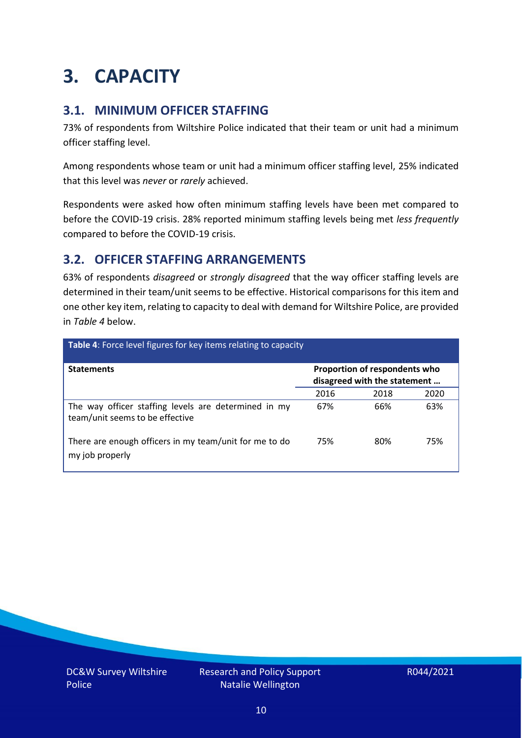### <span id="page-9-0"></span>**3. CAPACITY**

### **3.1. MINIMUM OFFICER STAFFING**

73% of respondents from Wiltshire Police indicated that their team or unit had a minimum officer staffing level.

Among respondents whose team or unit had a minimum officer staffing level, 25% indicated that this level was *never* or *rarely* achieved.

Respondents were asked how often minimum staffing levels have been met compared to before the COVID-19 crisis. 28% reported minimum staffing levels being met *less frequently* compared to before the COVID-19 crisis.

### **3.2. OFFICER STAFFING ARRANGEMENTS**

63% of respondents *disagreed* or *strongly disagreed* that the way officer staffing levels are determined in their team/unit seems to be effective. Historical comparisons for this item and one other key item, relating to capacity to deal with demand for Wiltshire Police, are provided in *Table 4* below.

| Table 4: Force level figures for key items relating to capacity                         |      |                                                               |      |
|-----------------------------------------------------------------------------------------|------|---------------------------------------------------------------|------|
| <b>Statements</b>                                                                       |      | Proportion of respondents who<br>disagreed with the statement |      |
|                                                                                         | 2016 | 2018                                                          | 2020 |
| The way officer staffing levels are determined in my<br>team/unit seems to be effective | 67%  | 66%                                                           | 63%  |
| There are enough officers in my team/unit for me to do<br>my job properly               | 75%  | 80%                                                           | 75%  |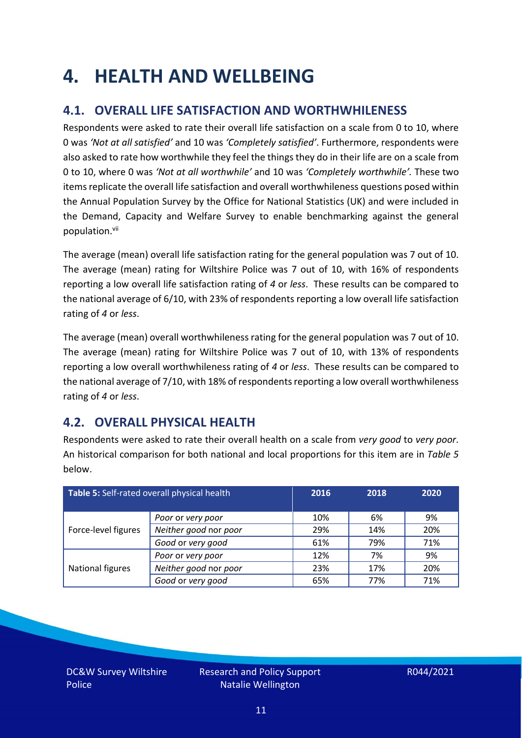### <span id="page-10-0"></span>**4. HEALTH AND WELLBEING**

### **4.1. OVERALL LIFE SATISFACTION AND WORTHWHILENESS**

Respondents were asked to rate their overall life satisfaction on a scale from 0 to 10, where 0 was *'Not at all satisfied'* and 10 was *'Completely satisfied'*. Furthermore, respondents were also asked to rate how worthwhile they feel the things they do in their life are on a scale from 0 to 10, where 0 was *'Not at all worthwhile'* and 10 was *'Completely worthwhile'.* These two items replicate the overall life satisfaction and overall worthwhileness questions posed within the Annual Population Survey by the Office for National Statistics (UK) and were included in the Demand, Capacity and Welfare Survey to enable benchmarking against the general population. vii

The average (mean) overall life satisfaction rating for the general population was 7 out of 10. The average (mean) rating for Wiltshire Police was 7 out of 10, with 16% of respondents reporting a low overall life satisfaction rating of *4* or *less*. These results can be compared to the national average of 6/10, with 23% of respondents reporting a low overall life satisfaction rating of *4* or *less*.

The average (mean) overall worthwhileness rating for the general population was 7 out of 10. The average (mean) rating for Wiltshire Police was 7 out of 10, with 13% of respondents reporting a low overall worthwhileness rating of *4* or *less*. These results can be compared to the national average of 7/10, with 18% of respondents reporting a low overall worthwhileness rating of *4* or *less*.

### **4.2. OVERALL PHYSICAL HEALTH**

Respondents were asked to rate their overall health on a scale from *very good* to *very poor*. An historical comparison for both national and local proportions for this item are in *Table 5* below.

| Table 5: Self-rated overall physical health |                       | 2016 | 2018 | 2020 |
|---------------------------------------------|-----------------------|------|------|------|
|                                             | Poor or very poor     | 10%  | 6%   | 9%   |
| Force-level figures                         | Neither good nor poor | 29%  | 14%  | 20%  |
|                                             | Good or very good     | 61%  | 79%  | 71%  |
|                                             | Poor or very poor     | 12%  | 7%   | 9%   |
| National figures                            | Neither good nor poor | 23%  | 17%  | 20%  |
|                                             | Good or very good     | 65%  | 77%  | 71%  |

DC&W Survey Wiltshire Police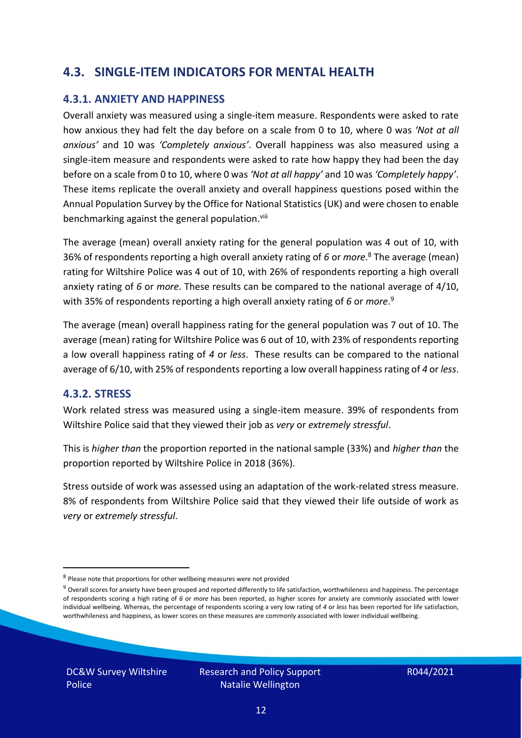### **4.3. SINGLE-ITEM INDICATORS FOR MENTAL HEALTH**

#### **4.3.1. ANXIETY AND HAPPINESS**

Overall anxiety was measured using a single-item measure. Respondents were asked to rate how anxious they had felt the day before on a scale from 0 to 10, where 0 was *'Not at all anxious'* and 10 was *'Completely anxious'*. Overall happiness was also measured using a single-item measure and respondents were asked to rate how happy they had been the day before on a scale from 0 to 10, where 0 was *'Not at all happy'* and 10 was *'Completely happy'*. These items replicate the overall anxiety and overall happiness questions posed within the Annual Population Survey by the Office for National Statistics (UK) and were chosen to enable benchmarking against the general population.<sup>viii</sup>

The average (mean) overall anxiety rating for the general population was 4 out of 10, with 36% of respondents reporting a high overall anxiety rating of *6* or *more*. <sup>8</sup> The average (mean) rating for Wiltshire Police was 4 out of 10, with 26% of respondents reporting a high overall anxiety rating of *6* or *more*. These results can be compared to the national average of 4/10, with 35% of respondents reporting a high overall anxiety rating of *6* or *more*. 9

The average (mean) overall happiness rating for the general population was 7 out of 10. The average (mean) rating for Wiltshire Police was 6 out of 10, with 23% of respondents reporting a low overall happiness rating of *4* or *less*. These results can be compared to the national average of 6/10, with 25% of respondents reporting a low overall happinessrating of *4* or *less*.

#### **4.3.2. STRESS**

Work related stress was measured using a single-item measure. 39% of respondents from Wiltshire Police said that they viewed their job as *very* or *extremely stressful*.

This is *higher than* the proportion reported in the national sample (33%) and *higher than* the proportion reported by Wiltshire Police in 2018 (36%).

Stress outside of work was assessed using an adaptation of the work-related stress measure. 8% of respondents from Wiltshire Police said that they viewed their life outside of work as *very* or *extremely stressful*.

DC&W Survey Wiltshire Police

<sup>&</sup>lt;sup>8</sup> Please note that proportions for other wellbeing measures were not provided

 $9$  Overall scores for anxiety have been grouped and reported differently to life satisfaction, worthwhileness and happiness. The percentage of respondents scoring a high rating of *6* or *more* has been reported, as higher scores for anxiety are commonly associated with lower individual wellbeing. Whereas, the percentage of respondents scoring a very low rating of *4* or *less* has been reported for life satisfaction, worthwhileness and happiness, as lower scores on these measures are commonly associated with lower individual wellbeing.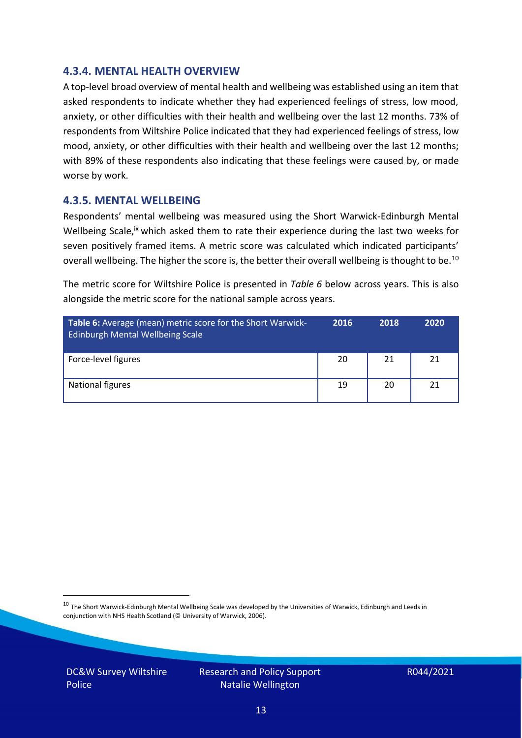#### **4.3.4. MENTAL HEALTH OVERVIEW**

A top-level broad overview of mental health and wellbeing was established using an item that asked respondents to indicate whether they had experienced feelings of stress, low mood, anxiety, or other difficulties with their health and wellbeing over the last 12 months. 73% of respondents from Wiltshire Police indicated that they had experienced feelings of stress, low mood, anxiety, or other difficulties with their health and wellbeing over the last 12 months; with 89% of these respondents also indicating that these feelings were caused by, or made worse by work.

#### **4.3.5. MENTAL WELLBEING**

Respondents' mental wellbeing was measured using the Short Warwick-Edinburgh Mental Wellbeing Scale,<sup>ix</sup> which asked them to rate their experience during the last two weeks for seven positively framed items. A metric score was calculated which indicated participants' overall wellbeing. The higher the score is, the better their overall wellbeing is thought to be.<sup>10</sup>

The metric score for Wiltshire Police is presented in *Table 6* below across years. This is also alongside the metric score for the national sample across years.

| <b>Table 6:</b> Average (mean) metric score for the Short Warwick-<br>Edinburgh Mental Wellbeing Scale | 2016 | 2018 | 2020 |
|--------------------------------------------------------------------------------------------------------|------|------|------|
| Force-level figures                                                                                    | 20   | 21   | 21   |
| National figures                                                                                       | 19   | 20   | 21   |

 $10$  The Short Warwick-Edinburgh Mental Wellbeing Scale was developed by the Universities of Warwick, Edinburgh and Leeds in conjunction with NHS Health Scotland (© University of Warwick, 2006).

DC&W Survey Wiltshire Police

Research and Policy Support Natalie Wellington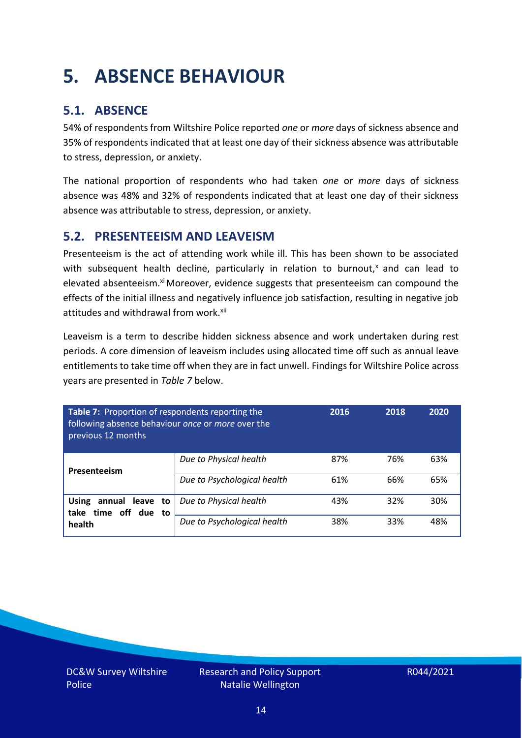### <span id="page-13-0"></span>**5. ABSENCE BEHAVIOUR**

### **5.1. ABSENCE**

54% of respondents from Wiltshire Police reported *one* or *more* days of sickness absence and 35% of respondents indicated that at least one day of their sickness absence was attributable to stress, depression, or anxiety.

The national proportion of respondents who had taken *one* or *more* days of sickness absence was 48% and 32% of respondents indicated that at least one day of their sickness absence was attributable to stress, depression, or anxiety.

#### **5.2. PRESENTEEISM AND LEAVEISM**

Presenteeism is the act of attending work while ill. This has been shown to be associated with subsequent health decline, particularly in relation to burnout, $x$  and can lead to elevated absenteeism.<sup>xi</sup> Moreover, evidence suggests that presenteeism can compound the effects of the initial illness and negatively influence job satisfaction, resulting in negative job attitudes and withdrawal from work.<sup>xii</sup>

Leaveism is a term to describe hidden sickness absence and work undertaken during rest periods. A core dimension of leaveism includes using allocated time off such as annual leave entitlements to take time off when they are in fact unwell. Findings for Wiltshire Police across years are presented in *Table 7* below.

| Table 7: Proportion of respondents reporting the<br>following absence behaviour once or more over the<br>previous 12 months |                             | 2016 | 2018 | 2020 |
|-----------------------------------------------------------------------------------------------------------------------------|-----------------------------|------|------|------|
| Presenteeism                                                                                                                | Due to Physical health      | 87%  | 76%  | 63%  |
|                                                                                                                             | Due to Psychological health | 61%  | 66%  | 65%  |
| annual leave to<br><b>Using</b><br>time off due to<br>take                                                                  | Due to Physical health      | 43%  | 32%  | 30%  |
| health                                                                                                                      | Due to Psychological health | 38%  | 33%  | 48%  |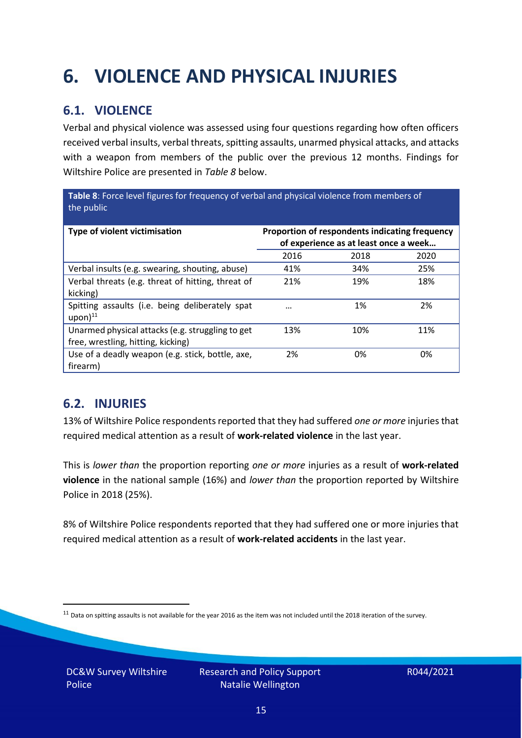## <span id="page-14-0"></span>**6. VIOLENCE AND PHYSICAL INJURIES**

### **6.1. VIOLENCE**

Verbal and physical violence was assessed using four questions regarding how often officers received verbal insults, verbal threats, spitting assaults, unarmed physical attacks, and attacks with a weapon from members of the public over the previous 12 months. Findings for Wiltshire Police are presented in *Table 8* below.

**Table 8**: Force level figures for frequency of verbal and physical violence from members of the public

| Type of violent victimisation                                                          | Proportion of respondents indicating frequency<br>of experience as at least once a week |      |      |
|----------------------------------------------------------------------------------------|-----------------------------------------------------------------------------------------|------|------|
|                                                                                        | 2016                                                                                    | 2018 | 2020 |
| Verbal insults (e.g. swearing, shouting, abuse)                                        | 41%                                                                                     | 34%  | 25%  |
| Verbal threats (e.g. threat of hitting, threat of<br>kicking)                          | 21%                                                                                     | 19%  | 18%  |
| Spitting assaults (i.e. being deliberately spat<br>$upon)$ <sup>11</sup>               |                                                                                         | 1%   | 2%   |
| Unarmed physical attacks (e.g. struggling to get<br>free, wrestling, hitting, kicking) | 13%                                                                                     | 10%  | 11%  |
| Use of a deadly weapon (e.g. stick, bottle, axe,<br>firearm)                           | 2%                                                                                      | 0%   | 0%   |

### **6.2. INJURIES**

13% of Wiltshire Police respondents reported that they had suffered *one or more* injuries that required medical attention as a result of **work-related violence** in the last year.

This is *lower than* the proportion reporting *one or more* injuries as a result of **work-related violence** in the national sample (16%) and *lower than* the proportion reported by Wiltshire Police in 2018 (25%).

8% of Wiltshire Police respondents reported that they had suffered one or more injuries that required medical attention as a result of **work-related accidents** in the last year.

 $11$  Data on spitting assaults is not available for the year 2016 as the item was not included until the 2018 iteration of the survey.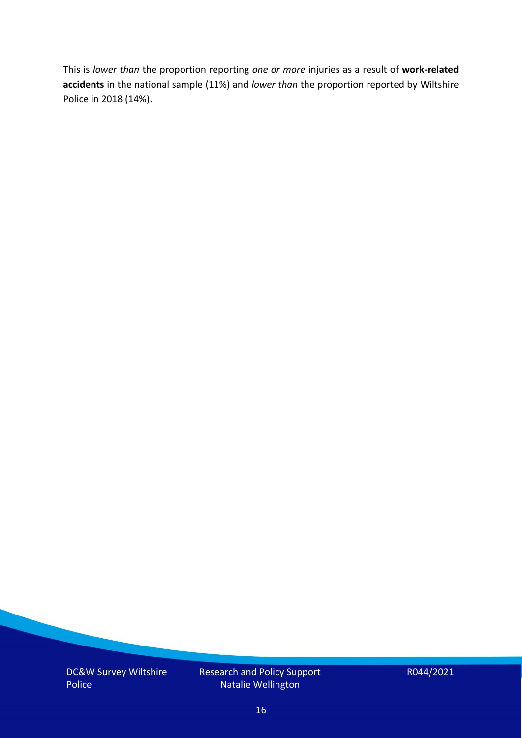This is *lower than* the proportion reporting *one or more* injuries as a result of **work-related accidents** in the national sample (11%) and *lower than* the proportion reported by Wiltshire Police in 2018 (14%).

DC&W Survey Wiltshire Police

Research and Policy Support Natalie Wellington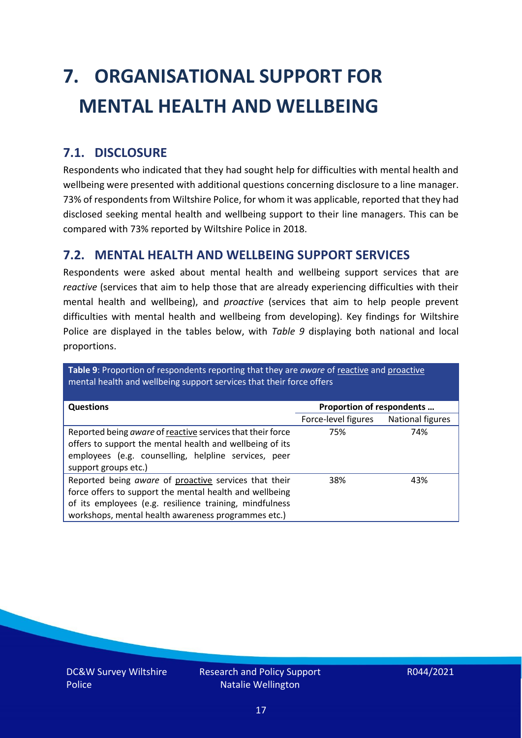# <span id="page-16-0"></span>**7. ORGANISATIONAL SUPPORT FOR MENTAL HEALTH AND WELLBEING**

### **7.1. DISCLOSURE**

Respondents who indicated that they had sought help for difficulties with mental health and wellbeing were presented with additional questions concerning disclosure to a line manager. 73% of respondents from Wiltshire Police, for whom it was applicable, reported that they had disclosed seeking mental health and wellbeing support to their line managers. This can be compared with 73% reported by Wiltshire Police in 2018.

#### **7.2. MENTAL HEALTH AND WELLBEING SUPPORT SERVICES**

Respondents were asked about mental health and wellbeing support services that are *reactive* (services that aim to help those that are already experiencing difficulties with their mental health and wellbeing), and *proactive* (services that aim to help people prevent difficulties with mental health and wellbeing from developing). Key findings for Wiltshire Police are displayed in the tables below, with *Table 9* displaying both national and local proportions.

**Table 9**: Proportion of respondents reporting that they are *aware* of reactive and proactive mental health and wellbeing support services that their force offers

| <b>Questions</b>                                                                                                                                                                                                                   | Proportion of respondents |                  |  |
|------------------------------------------------------------------------------------------------------------------------------------------------------------------------------------------------------------------------------------|---------------------------|------------------|--|
|                                                                                                                                                                                                                                    |                           |                  |  |
|                                                                                                                                                                                                                                    | Force-level figures       | National figures |  |
| Reported being aware of reactive services that their force<br>offers to support the mental health and wellbeing of its<br>employees (e.g. counselling, helpline services, peer<br>support groups etc.)                             | 75%                       | 74%              |  |
| Reported being aware of proactive services that their<br>force offers to support the mental health and wellbeing<br>of its employees (e.g. resilience training, mindfulness<br>workshops, mental health awareness programmes etc.) | 38%                       | 43%              |  |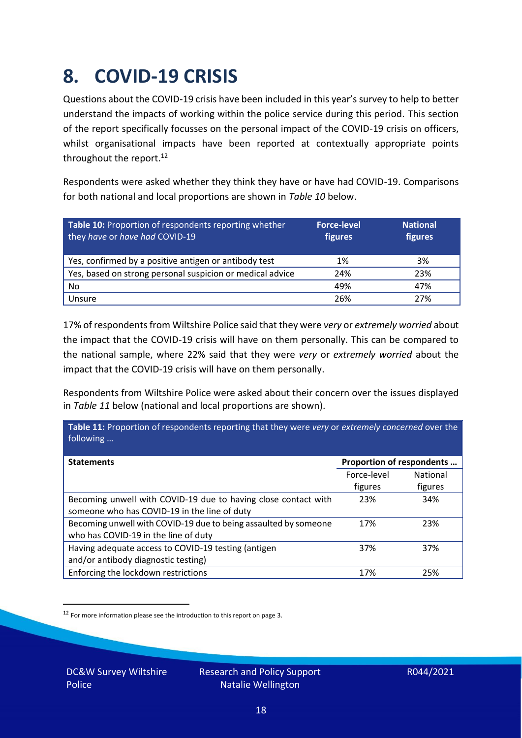### <span id="page-17-0"></span>**8. COVID-19 CRISIS**

Questions about the COVID-19 crisis have been included in this year's survey to help to better understand the impacts of working within the police service during this period. This section of the report specifically focusses on the personal impact of the COVID-19 crisis on officers, whilst organisational impacts have been reported at contextually appropriate points throughout the report.<sup>12</sup>

Respondents were asked whether they think they have or have had COVID-19. Comparisons for both national and local proportions are shown in *Table 10* below.

| Table 10: Proportion of respondents reporting whether<br>they have or have had COVID-19 | <b>Force-level</b><br>figures | <b>National</b><br>figures |
|-----------------------------------------------------------------------------------------|-------------------------------|----------------------------|
| Yes, confirmed by a positive antigen or antibody test                                   | 1%                            | 3%                         |
| Yes, based on strong personal suspicion or medical advice                               | 24%                           | 23%                        |
| No                                                                                      | 49%                           | 47%                        |
| Unsure                                                                                  | 26%                           | 27%                        |

17% of respondents from Wiltshire Police said that they were *very* or *extremely worried* about the impact that the COVID-19 crisis will have on them personally. This can be compared to the national sample, where 22% said that they were *very* or *extremely worried* about the impact that the COVID-19 crisis will have on them personally.

Respondents from Wiltshire Police were asked about their concern over the issues displayed in *Table 11* below (national and local proportions are shown).

| Table 11: Proportion of respondents reporting that they were very or extremely concerned over the<br>following |                           |                 |
|----------------------------------------------------------------------------------------------------------------|---------------------------|-----------------|
| <b>Statements</b>                                                                                              | Proportion of respondents |                 |
|                                                                                                                | Force-level               | <b>National</b> |
|                                                                                                                | figures                   | figures         |
| Becoming unwell with COVID-19 due to having close contact with                                                 | 23%                       | 34%             |
| someone who has COVID-19 in the line of duty                                                                   |                           |                 |
| Becoming unwell with COVID-19 due to being assaulted by someone                                                | 17%                       | 23%             |
| who has COVID-19 in the line of duty                                                                           |                           |                 |
| Having adequate access to COVID-19 testing (antigen                                                            | 37%                       | 37%             |
| and/or antibody diagnostic testing)                                                                            |                           |                 |
| Enforcing the lockdown restrictions                                                                            | 17%                       | 25%             |

<sup>12</sup> For more information please see the introduction to this report on page 3.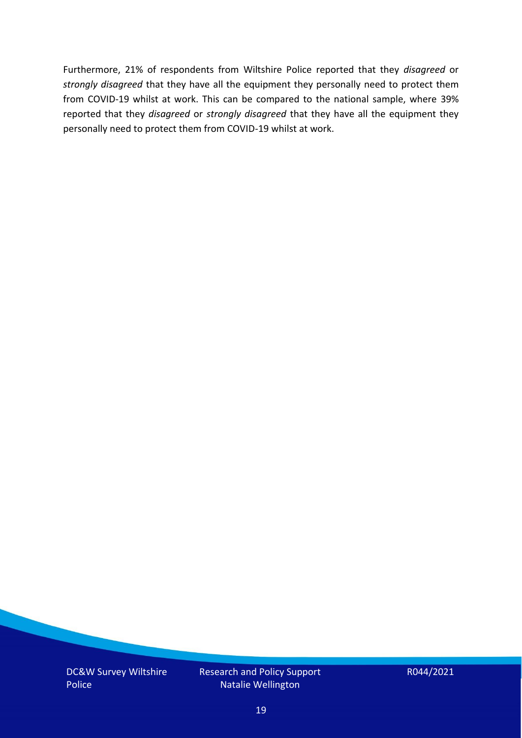Furthermore, 21% of respondents from Wiltshire Police reported that they *disagreed* or *strongly disagreed* that they have all the equipment they personally need to protect them from COVID-19 whilst at work. This can be compared to the national sample, where 39% reported that they *disagreed* or *strongly disagreed* that they have all the equipment they personally need to protect them from COVID-19 whilst at work.

DC&W Survey Wiltshire Police

Research and Policy Support Natalie Wellington